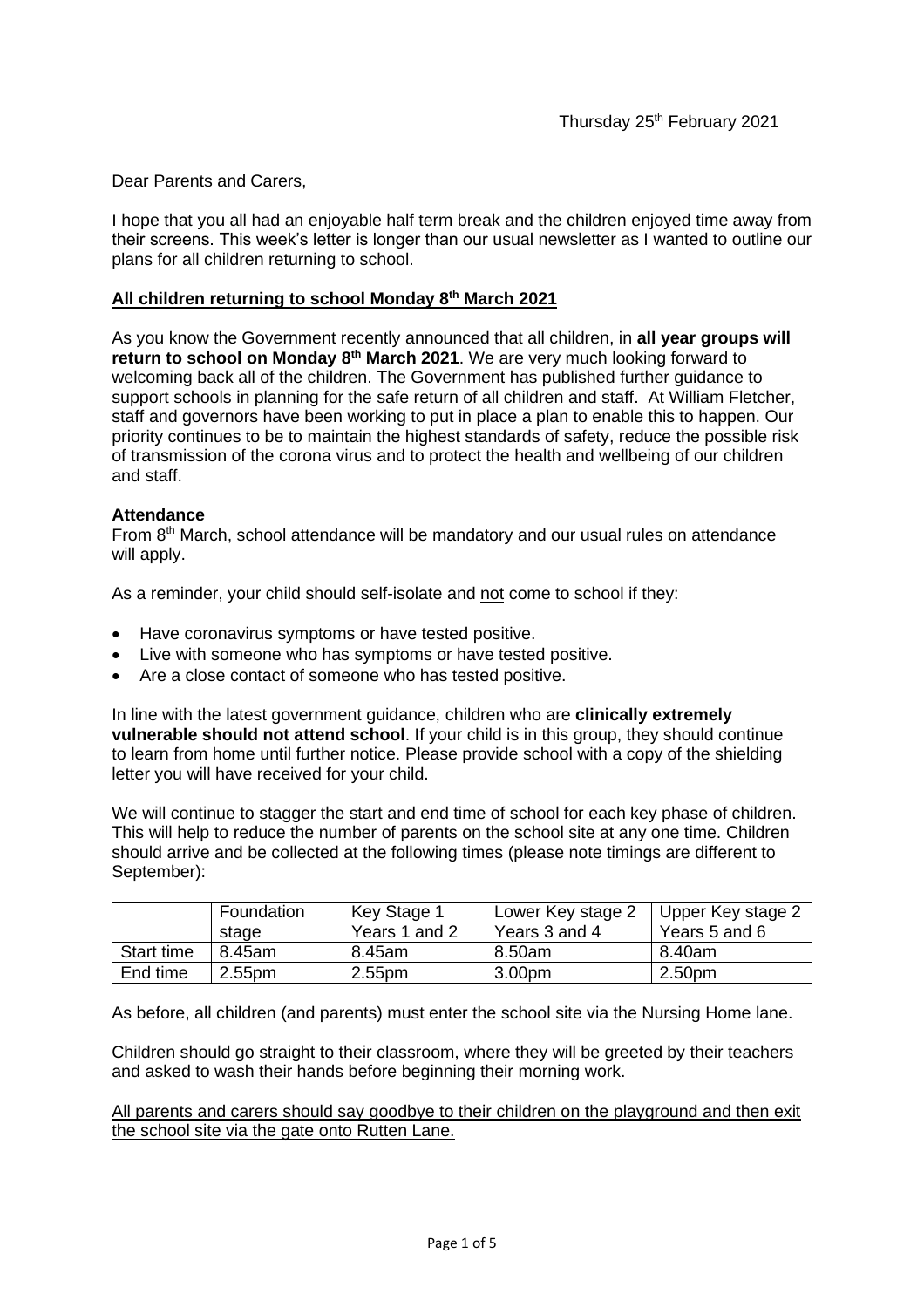Dear Parents and Carers,

I hope that you all had an enjoyable half term break and the children enjoyed time away from their screens. This week's letter is longer than our usual newsletter as I wanted to outline our plans for all children returning to school.

# **All children returning to school Monday 8th March 2021**

As you know the Government recently announced that all children, in **all year groups will return to school on Monday 8th March 2021**. We are very much looking forward to welcoming back all of the children. The Government has published further guidance to support schools in planning for the safe return of all children and staff. At William Fletcher, staff and governors have been working to put in place a plan to enable this to happen. Our priority continues to be to maintain the highest standards of safety, reduce the possible risk of transmission of the corona virus and to protect the health and wellbeing of our children and staff.

# **Attendance**

From 8<sup>th</sup> March, school attendance will be mandatory and our usual rules on attendance will apply.

As a reminder, your child should self-isolate and not come to school if they:

- Have coronavirus symptoms or have tested positive.
- Live with someone who has symptoms or have tested positive.
- Are a close contact of someone who has tested positive.

In line with the latest government guidance, children who are **clinically extremely vulnerable should not attend school**. If your child is in this group, they should continue to learn from home until further notice. Please provide school with a copy of the shielding letter you will have received for your child.

We will continue to stagger the start and end time of school for each key phase of children. This will help to reduce the number of parents on the school site at any one time. Children should arrive and be collected at the following times (please note timings are different to September):

|                   | Foundation<br>stage | Key Stage 1<br>Years 1 and 2 | Lower Key stage 2<br>Years 3 and 4 | Upper Key stage 2<br>Years 5 and 6 |
|-------------------|---------------------|------------------------------|------------------------------------|------------------------------------|
| <b>Start time</b> | 8.45am              | 8.45am                       | 8.50am                             | 8.40am                             |
| End time          | 2.55pm              | 2.55pm                       | 3.00pm                             | 2.50pm                             |

As before, all children (and parents) must enter the school site via the Nursing Home lane.

Children should go straight to their classroom, where they will be greeted by their teachers and asked to wash their hands before beginning their morning work.

All parents and carers should say goodbye to their children on the playground and then exit the school site via the gate onto Rutten Lane.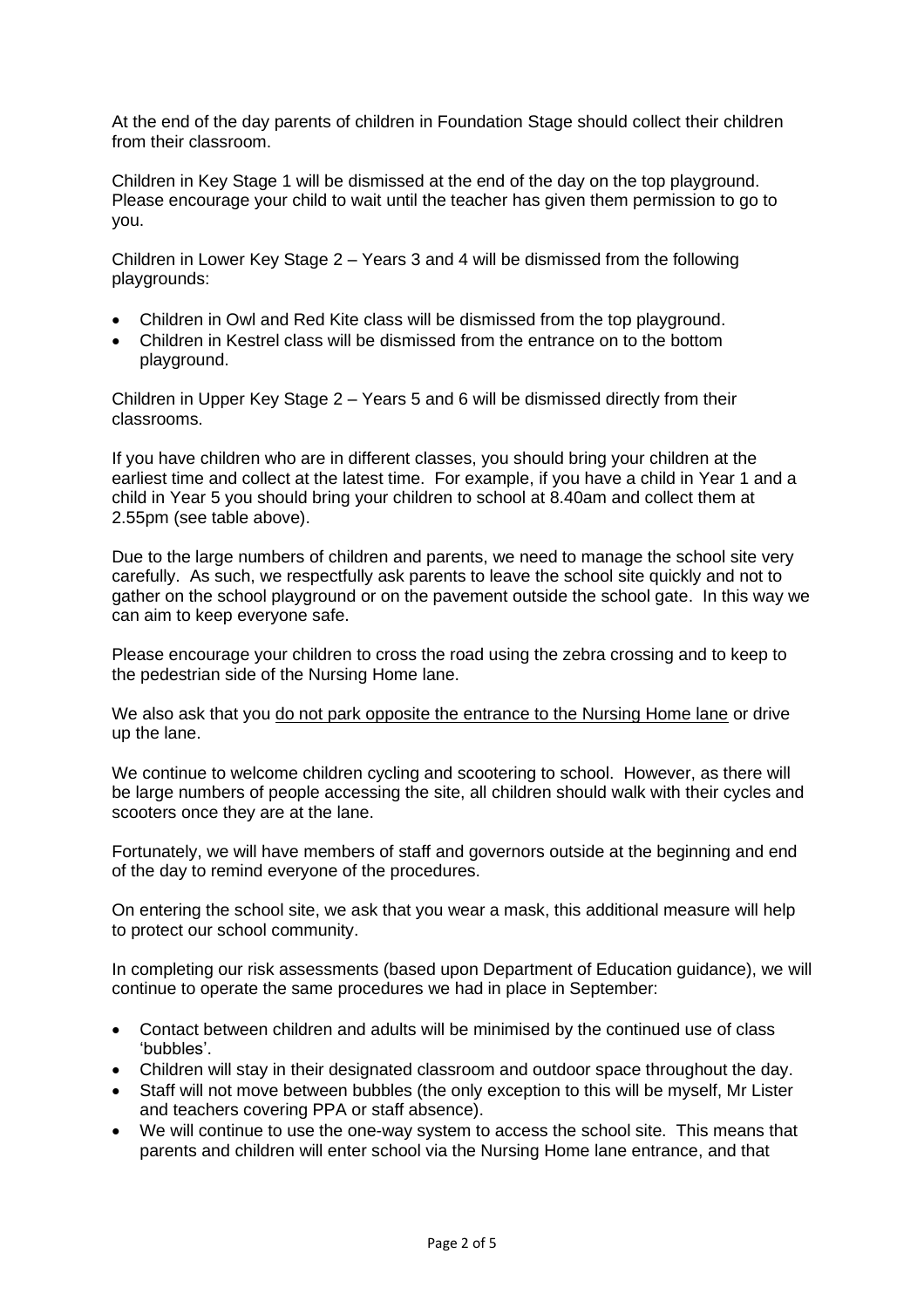At the end of the day parents of children in Foundation Stage should collect their children from their classroom.

Children in Key Stage 1 will be dismissed at the end of the day on the top playground. Please encourage your child to wait until the teacher has given them permission to go to you.

Children in Lower Key Stage 2 – Years 3 and 4 will be dismissed from the following playgrounds:

- Children in Owl and Red Kite class will be dismissed from the top playground.
- Children in Kestrel class will be dismissed from the entrance on to the bottom playground.

Children in Upper Key Stage 2 – Years 5 and 6 will be dismissed directly from their classrooms.

If you have children who are in different classes, you should bring your children at the earliest time and collect at the latest time. For example, if you have a child in Year 1 and a child in Year 5 you should bring your children to school at 8.40am and collect them at 2.55pm (see table above).

Due to the large numbers of children and parents, we need to manage the school site very carefully. As such, we respectfully ask parents to leave the school site quickly and not to gather on the school playground or on the pavement outside the school gate. In this way we can aim to keep everyone safe.

Please encourage your children to cross the road using the zebra crossing and to keep to the pedestrian side of the Nursing Home lane.

We also ask that you do not park opposite the entrance to the Nursing Home lane or drive up the lane.

We continue to welcome children cycling and scootering to school. However, as there will be large numbers of people accessing the site, all children should walk with their cycles and scooters once they are at the lane.

Fortunately, we will have members of staff and governors outside at the beginning and end of the day to remind everyone of the procedures.

On entering the school site, we ask that you wear a mask, this additional measure will help to protect our school community.

In completing our risk assessments (based upon Department of Education guidance), we will continue to operate the same procedures we had in place in September:

- Contact between children and adults will be minimised by the continued use of class 'bubbles'.
- Children will stay in their designated classroom and outdoor space throughout the day.
- Staff will not move between bubbles (the only exception to this will be myself, Mr Lister and teachers covering PPA or staff absence).
- We will continue to use the one-way system to access the school site. This means that parents and children will enter school via the Nursing Home lane entrance, and that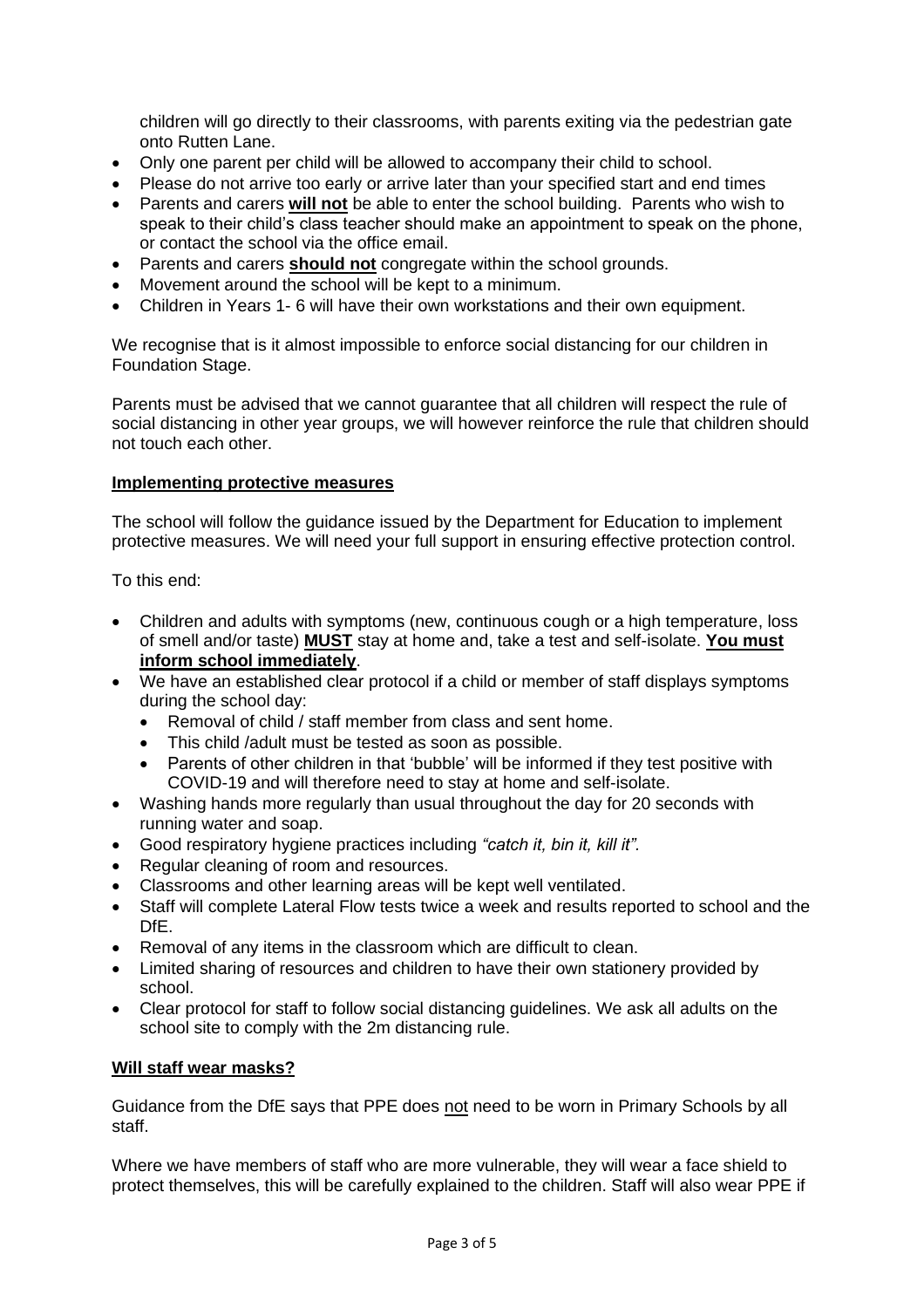children will go directly to their classrooms, with parents exiting via the pedestrian gate onto Rutten Lane.

- Only one parent per child will be allowed to accompany their child to school.
- Please do not arrive too early or arrive later than your specified start and end times
- Parents and carers **will not** be able to enter the school building. Parents who wish to speak to their child's class teacher should make an appointment to speak on the phone, or contact the school via the office email.
- Parents and carers **should not** congregate within the school grounds.
- Movement around the school will be kept to a minimum.
- Children in Years 1- 6 will have their own workstations and their own equipment.

We recognise that is it almost impossible to enforce social distancing for our children in Foundation Stage.

Parents must be advised that we cannot guarantee that all children will respect the rule of social distancing in other year groups, we will however reinforce the rule that children should not touch each other.

### **Implementing protective measures**

The school will follow the guidance issued by the Department for Education to implement protective measures. We will need your full support in ensuring effective protection control.

To this end:

- Children and adults with symptoms (new, continuous cough or a high temperature, loss of smell and/or taste) **MUST** stay at home and, take a test and self-isolate. **You must inform school immediately**.
- We have an established clear protocol if a child or member of staff displays symptoms during the school day:
	- Removal of child / staff member from class and sent home.
	- This child /adult must be tested as soon as possible.
	- Parents of other children in that 'bubble' will be informed if they test positive with COVID-19 and will therefore need to stay at home and self-isolate.
- Washing hands more regularly than usual throughout the day for 20 seconds with running water and soap.
- Good respiratory hygiene practices including *"catch it, bin it, kill it".*
- Regular cleaning of room and resources.
- Classrooms and other learning areas will be kept well ventilated.
- Staff will complete Lateral Flow tests twice a week and results reported to school and the DfE.
- Removal of any items in the classroom which are difficult to clean.
- Limited sharing of resources and children to have their own stationery provided by school.
- Clear protocol for staff to follow social distancing guidelines. We ask all adults on the school site to comply with the 2m distancing rule.

### **Will staff wear masks?**

Guidance from the DfE says that PPE does not need to be worn in Primary Schools by all staff.

Where we have members of staff who are more vulnerable, they will wear a face shield to protect themselves, this will be carefully explained to the children. Staff will also wear PPE if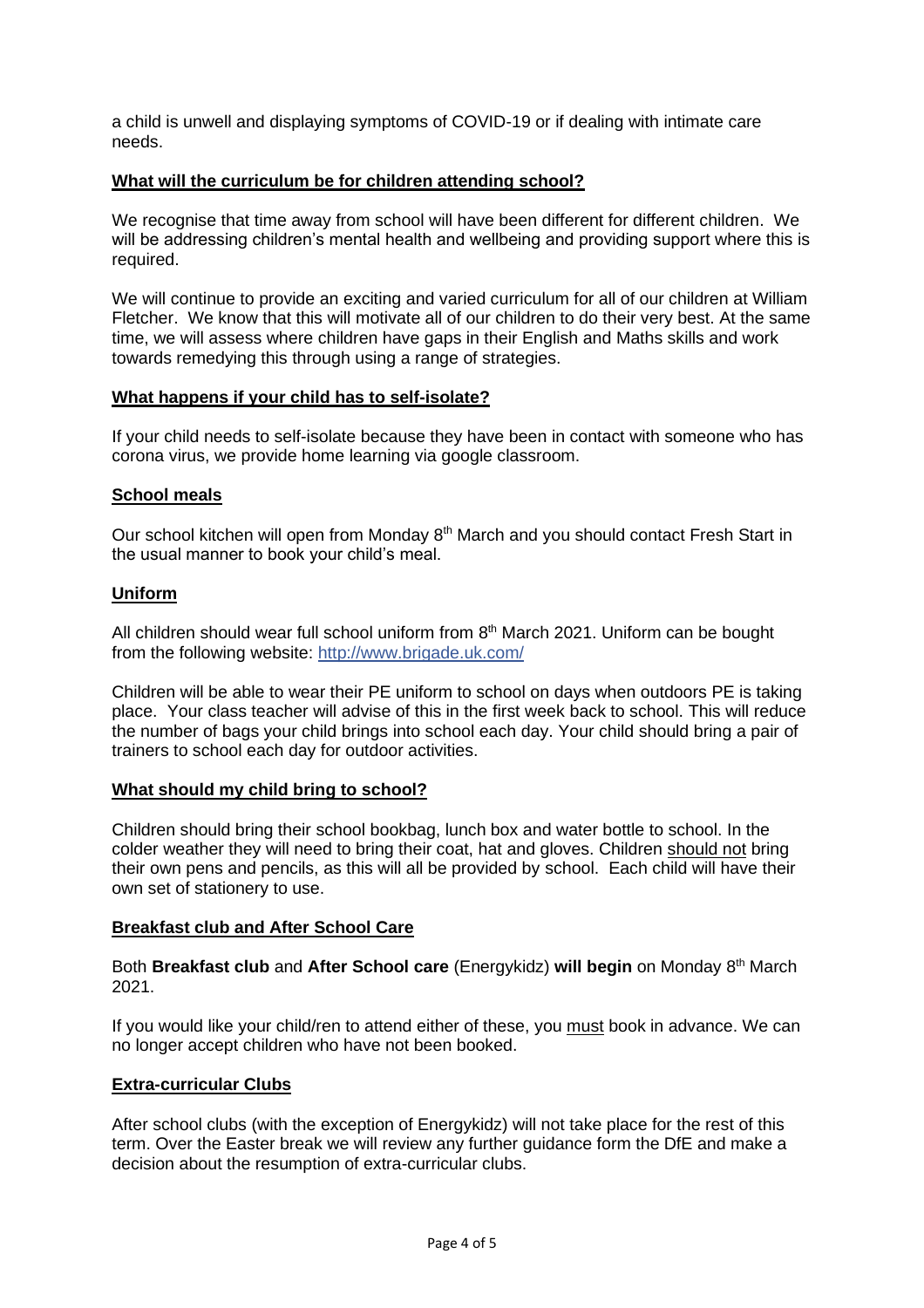a child is unwell and displaying symptoms of COVID-19 or if dealing with intimate care needs.

### **What will the curriculum be for children attending school?**

We recognise that time away from school will have been different for different children. We will be addressing children's mental health and wellbeing and providing support where this is required.

We will continue to provide an exciting and varied curriculum for all of our children at William Fletcher. We know that this will motivate all of our children to do their very best. At the same time, we will assess where children have gaps in their English and Maths skills and work towards remedying this through using a range of strategies.

### **What happens if your child has to self-isolate?**

If your child needs to self-isolate because they have been in contact with someone who has corona virus, we provide home learning via google classroom.

# **School meals**

Our school kitchen will open from Monday 8<sup>th</sup> March and you should contact Fresh Start in the usual manner to book your child's meal.

# **Uniform**

All children should wear full school uniform from 8<sup>th</sup> March 2021. Uniform can be bought from the following website: [http://www.brigade.uk.com/](http://www.brigade.uk.com/?fbclid=IwAR3wtuLa1xvL57TDTKg0JR0mC4nKjsPlCfMjG2yoJuEp4xBkR_Zqo3DD9Ao)

Children will be able to wear their PE uniform to school on days when outdoors PE is taking place. Your class teacher will advise of this in the first week back to school. This will reduce the number of bags your child brings into school each day. Your child should bring a pair of trainers to school each day for outdoor activities.

### **What should my child bring to school?**

Children should bring their school bookbag, lunch box and water bottle to school. In the colder weather they will need to bring their coat, hat and gloves. Children should not bring their own pens and pencils, as this will all be provided by school. Each child will have their own set of stationery to use.

### **Breakfast club and After School Care**

Both **Breakfast club** and **After School care** (Energykidz) **will begin** on Monday 8 th March 2021.

If you would like your child/ren to attend either of these, you must book in advance. We can no longer accept children who have not been booked.

### **Extra-curricular Clubs**

After school clubs (with the exception of Energykidz) will not take place for the rest of this term. Over the Easter break we will review any further guidance form the DfE and make a decision about the resumption of extra-curricular clubs.